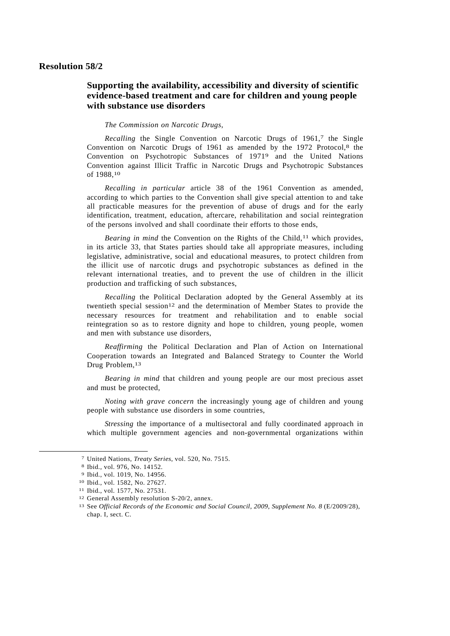## **Resolution 58/2**

## **Supporting the availability, accessibility and diversity of scientific evidence-based treatment and care for children and young people with substance use disorders**

## *The Commission on Narcotic Drugs*,

*Recalling* the Single Convention on Narcotic Drugs of 1961,7 the Single Convention on Narcotic Drugs of 1961 as amended by the 1972 Protocol,<sup>8</sup> the Convention on Psychotropic Substances of 19719 and the United Nations Convention against Illicit Traffic in Narcotic Drugs and Psychotropic Substances of 1988,10

*Recalling in particular* article 38 of the 1961 Convention as amended, according to which parties to the Convention shall give special attention to and take all practicable measures for the prevention of abuse of drugs and for the early identification, treatment, education, aftercare, rehabilitation and social reintegration of the persons involved and shall coordinate their efforts to those ends,

*Bearing in mind* the Convention on the Rights of the Child,<sup>11</sup> which provides, in its article 33, that States parties should take all appropriate measures, including legislative, administrative, social and educational measures, to protect children from the illicit use of narcotic drugs and psychotropic substances as defined in the relevant international treaties, and to prevent the use of children in the illicit production and trafficking of such substances,

*Recalling* the Political Declaration adopted by the General Assembly at its twentieth special session<sup>12</sup> and the determination of Member States to provide the necessary resources for treatment and rehabilitation and to enable social reintegration so as to restore dignity and hope to children, young people, women and men with substance use disorders,

*Reaffirming* the Political Declaration and Plan of Action on International Cooperation towards an Integrated and Balanced Strategy to Counter the World Drug Problem, 13

*Bearing in mind* that children and young people are our most precious asset and must be protected,

*Noting with grave concern* the increasingly young age of children and young people with substance use disorders in some countries,

*Stressing* the importance of a multisectoral and fully coordinated approach in which multiple government agencies and non-governmental organizations within

-

<sup>7</sup> United Nations, *Treaty Series*, vol. 520, No. 7515.

<sup>8</sup> Ibid., vol. 976, No. 14152.

<sup>9</sup> Ibid., vol. 1019, No. 14956.

<sup>10</sup> Ibid., vol. 1582, No. 27627.

<sup>11</sup> Ibid., vol. 1577, No. 27531.

<sup>12</sup> General Assembly resolution S-20/2, annex.

<sup>13</sup> See *Official Records of the Economic and Social Council, 2009, Supplement No. 8* (E/2009/28), chap. I, sect. C.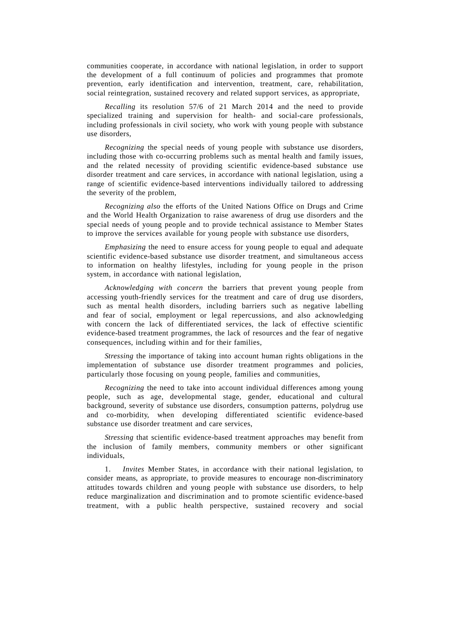communities cooperate, in accordance with national legislation, in order to support the development of a full continuum of policies and programmes that promote prevention, early identification and intervention, treatment, care, rehabilitation, social reintegration, sustained recovery and related support services, as appropriate,

*Recalling* its resolution 57/6 of 21 March 2014 and the need to provide specialized training and supervision for health- and social-care professionals, including professionals in civil society, who work with young people with substance use disorders,

*Recognizing* the special needs of young people with substance use disorders, including those with co-occurring problems such as mental health and family issues, and the related necessity of providing scientific evidence-based substance use disorder treatment and care services, in accordance with national legislation, using a range of scientific evidence-based interventions individually tailored to addressing the severity of the problem,

*Recognizing also* the efforts of the United Nations Office on Drugs and Crime and the World Health Organization to raise awareness of drug use disorders and the special needs of young people and to provide technical assistance to Member States to improve the services available for young people with substance use disorders,

*Emphasizing* the need to ensure access for young people to equal and adequate scientific evidence-based substance use disorder treatment, and simultaneous access to information on healthy lifestyles, including for young people in the prison system, in accordance with national legislation,

*Acknowledging with concern* the barriers that prevent young people from accessing youth-friendly services for the treatment and care of drug use disorders, such as mental health disorders, including barriers such as negative labelling and fear of social, employment or legal repercussions, and also acknowledging with concern the lack of differentiated services, the lack of effective scientific evidence-based treatment programmes, the lack of resources and the fear of negative consequences, including within and for their families,

*Stressing* the importance of taking into account human rights obligations in the implementation of substance use disorder treatment programmes and policies, particularly those focusing on young people, families and communities,

*Recognizing* the need to take into account individual differences among young people, such as age, developmental stage, gender, educational and cultural background, severity of substance use disorders, consumption patterns, polydrug use and co-morbidity, when developing differentiated scientific evidence-based substance use disorder treatment and care services,

*Stressing* that scientific evidence-based treatment approaches may benefit from the inclusion of family members, community members or other significant individuals,

 1. *Invites* Member States, in accordance with their national legislation, to consider means, as appropriate, to provide measures to encourage non-discriminatory attitudes towards children and young people with substance use disorders, to help reduce marginalization and discrimination and to promote scientific evidence-based treatment, with a public health perspective, sustained recovery and social